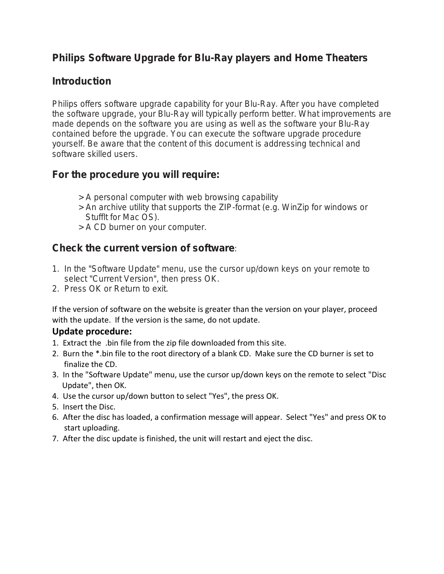# **Philips Software Upgrade for Blu-Ray players and Home Theaters**

# **Introduction**

Philips offers software upgrade capability for your Blu-Ray. After you have completed the software upgrade, your Blu-Ray will typically perform better. What improvements are made depends on the software you are using as well as the software your Blu-Ray contained before the upgrade. You can execute the software upgrade procedure yourself. Be aware that the content of this document is addressing technical and software skilled users.

# **For the procedure you will require:**

- > A personal computer with web browsing capability
- > An archive utility that supports the ZIP-format (e.g. WinZip for windows or Stufflt for Mac OS).
- > A CD burner on your computer.

# **Check the current version of software**:

- 1. In the "Software Update" menu, use the cursor up/down keys on your remote to select "Current Version", then press OK.
- 2. Press OK or Return to exit.

If the version of software on the website is greater than the version on your player, proceed with the update. If the version is the same, do not update.

### **Update procedure:**

- 1. Extract the .bin file from the zip file downloaded from this site.
- 2. Burn the \*.bin file to the root directory of a blank CD. Make sure the CD burner is set to finalize the CD.
- 3. In the "Software Update" menu, use the cursor up/down keys on the remote to select "Disc Update", then OK.
- 4. Use the cursor up/down button to select "Yes", the press OK.
- 5. Insert the Disc.
- 6. After the disc has loaded, a confirmation message will appear. Select "Yes" and press OK to start uploading.
- 7. After the disc update is finished, the unit will restart and eject the disc.